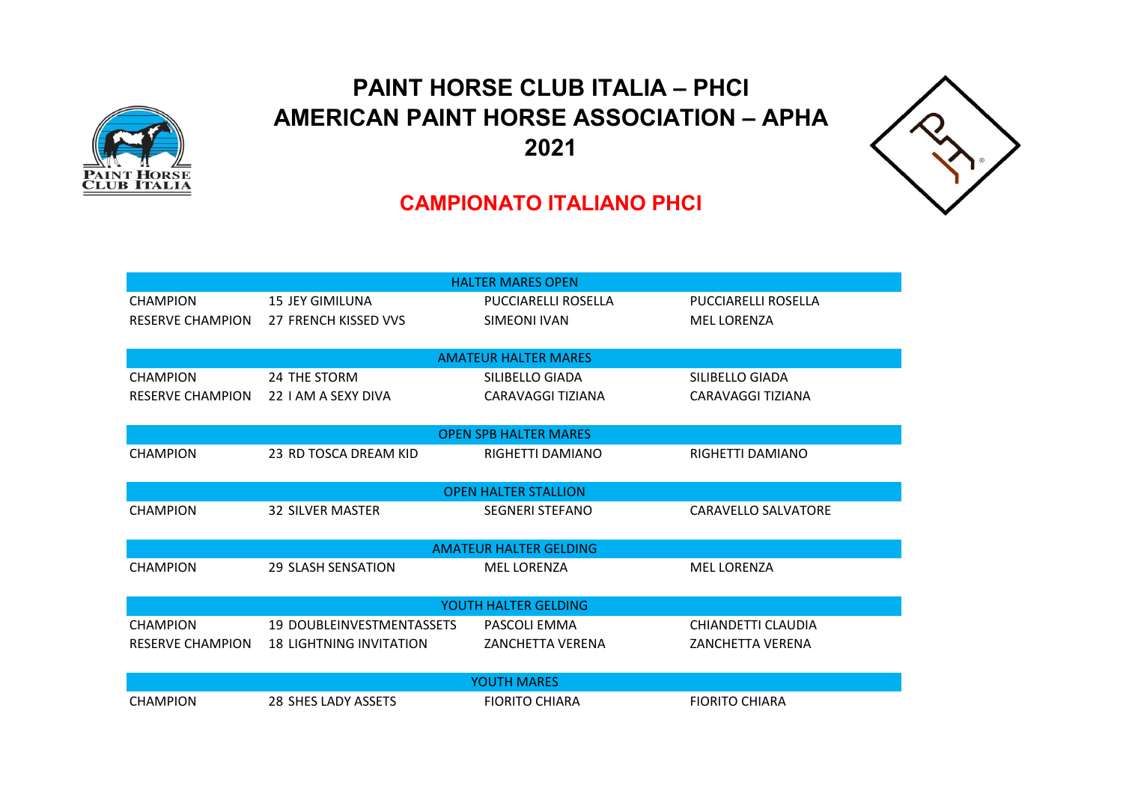

## **PAINT HORSE CLUB ITALIA – PHCI AMERICAN PAINT HORSE ASSOCIATION – APHA 2021**



## **CAMPIONATO ITALIANO PHCI**

| <b>HALTER MARES OPEN</b>      |                                  |                              |                         |  |  |  |
|-------------------------------|----------------------------------|------------------------------|-------------------------|--|--|--|
| <b>CHAMPION</b>               | <b>15 JEY GIMILUNA</b>           | PUCCIARELLI ROSELLA          | PUCCIARELLI ROSELLA     |  |  |  |
| <b>RESERVE CHAMPION</b>       | 27 FRENCH KISSED VVS             | SIMEONI IVAN                 | <b>MEL LORENZA</b>      |  |  |  |
|                               |                                  |                              |                         |  |  |  |
|                               |                                  | <b>AMATEUR HALTER MARES</b>  |                         |  |  |  |
| <b>CHAMPION</b>               | 24 THE STORM                     | SILIBELLO GIADA              | SILIBELLO GIADA         |  |  |  |
| <b>RESERVE CHAMPION</b>       | 22 I AM A SEXY DIVA              | CARAVAGGI TIZIANA            | CARAVAGGI TIZIANA       |  |  |  |
|                               |                                  |                              |                         |  |  |  |
|                               |                                  | <b>OPEN SPB HALTER MARES</b> |                         |  |  |  |
| <b>CHAMPION</b>               | 23 RD TOSCA DREAM KID            | RIGHETTI DAMIANO             | RIGHETTI DAMIANO        |  |  |  |
|                               |                                  |                              |                         |  |  |  |
|                               |                                  | <b>OPEN HALTER STALLION</b>  |                         |  |  |  |
| <b>CHAMPION</b>               | <b>32 SILVER MASTER</b>          | <b>SEGNERI STEFANO</b>       | CARAVELLO SALVATORE     |  |  |  |
|                               |                                  |                              |                         |  |  |  |
| <b>AMATEUR HALTER GELDING</b> |                                  |                              |                         |  |  |  |
| <b>CHAMPION</b>               | <b>29 SLASH SENSATION</b>        | <b>MEL LORENZA</b>           | <b>MEL LORENZA</b>      |  |  |  |
|                               |                                  |                              |                         |  |  |  |
| YOUTH HALTER GELDING          |                                  |                              |                         |  |  |  |
| <b>CHAMPION</b>               | <b>19 DOUBLEINVESTMENTASSETS</b> | PASCOLI EMMA                 | CHIANDETTI CLAUDIA      |  |  |  |
| <b>RESERVE CHAMPION</b>       | <b>18 LIGHTNING INVITATION</b>   | <b>ZANCHETTA VERENA</b>      | <b>ZANCHETTA VERENA</b> |  |  |  |
|                               |                                  |                              |                         |  |  |  |
| YOUTH MARES                   |                                  |                              |                         |  |  |  |
| <b>CHAMPION</b>               | 28 SHES LADY ASSETS              | <b>FIORITO CHIARA</b>        | <b>FIORITO CHIARA</b>   |  |  |  |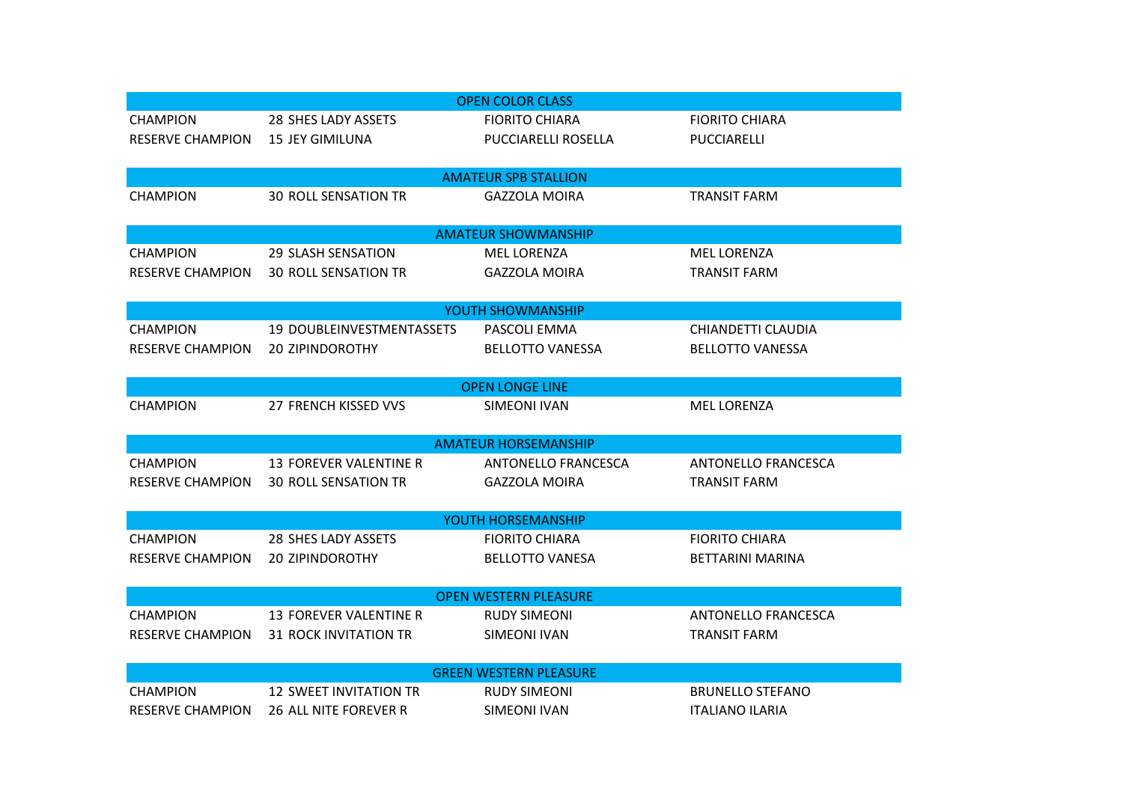|                               |                               | <b>OPEN COLOR CLASS</b>     |                         |  |  |  |
|-------------------------------|-------------------------------|-----------------------------|-------------------------|--|--|--|
| <b>CHAMPION</b>               | 28 SHES LADY ASSETS           | <b>FIORITO CHIARA</b>       | <b>FIORITO CHIARA</b>   |  |  |  |
| <b>RESERVE CHAMPION</b>       | <b>15 JEY GIMILUNA</b>        | PUCCIARELLI ROSELLA         | PUCCIARELLI             |  |  |  |
|                               |                               |                             |                         |  |  |  |
|                               |                               | <b>AMATEUR SPB STALLION</b> |                         |  |  |  |
| <b>CHAMPION</b>               | <b>30 ROLL SENSATION TR</b>   | <b>GAZZOLA MOIRA</b>        | <b>TRANSIT FARM</b>     |  |  |  |
|                               |                               |                             |                         |  |  |  |
|                               |                               | <b>AMATEUR SHOWMANSHIP</b>  |                         |  |  |  |
| <b>CHAMPION</b>               | 29 SLASH SENSATION            | <b>MEL LORENZA</b>          | <b>MEL LORENZA</b>      |  |  |  |
| RESERVE CHAMPION              | <b>30 ROLL SENSATION TR</b>   | <b>GAZZOLA MOIRA</b>        | <b>TRANSIT FARM</b>     |  |  |  |
|                               |                               |                             |                         |  |  |  |
|                               |                               | YOUTH SHOWMANSHIP           |                         |  |  |  |
| <b>CHAMPION</b>               | 19 DOUBLEINVESTMENTASSETS     | PASCOLI EMMA                | CHIANDETTI CLAUDIA      |  |  |  |
| <b>RESERVE CHAMPION</b>       | <b>20 ZIPINDOROTHY</b>        | <b>BELLOTTO VANESSA</b>     | <b>BELLOTTO VANESSA</b> |  |  |  |
|                               |                               |                             |                         |  |  |  |
|                               |                               | <b>OPEN LONGE LINE</b>      |                         |  |  |  |
| <b>CHAMPION</b>               | 27 FRENCH KISSED VVS          | SIMEONI IVAN                | MEL LORENZA             |  |  |  |
|                               |                               |                             |                         |  |  |  |
|                               |                               | <b>AMATEUR HORSEMANSHIP</b> |                         |  |  |  |
| <b>CHAMPION</b>               | 13 FOREVER VALENTINE R        | ANTONELLO FRANCESCA         | ANTONELLO FRANCESCA     |  |  |  |
| <b>RESERVE CHAMPION</b>       | <b>30 ROLL SENSATION TR</b>   | <b>GAZZOLA MOIRA</b>        | <b>TRANSIT FARM</b>     |  |  |  |
|                               |                               |                             |                         |  |  |  |
| YOUTH HORSEMANSHIP            |                               |                             |                         |  |  |  |
| <b>CHAMPION</b>               | 28 SHES LADY ASSETS           | <b>FIORITO CHIARA</b>       | <b>FIORITO CHIARA</b>   |  |  |  |
| <b>RESERVE CHAMPION</b>       | <b>20 ZIPINDOROTHY</b>        | <b>BELLOTTO VANESA</b>      | <b>BETTARINI MARINA</b> |  |  |  |
|                               |                               |                             |                         |  |  |  |
| <b>OPEN WESTERN PLEASURE</b>  |                               |                             |                         |  |  |  |
| <b>CHAMPION</b>               | 13 FOREVER VALENTINE R        | <b>RUDY SIMEONI</b>         | ANTONELLO FRANCESCA     |  |  |  |
| RESERVE CHAMPION              | 31 ROCK INVITATION TR         | <b>SIMEONI IVAN</b>         | <b>TRANSIT FARM</b>     |  |  |  |
|                               |                               |                             |                         |  |  |  |
| <b>GREEN WESTERN PLEASURE</b> |                               |                             |                         |  |  |  |
| <b>CHAMPION</b>               | <b>12 SWEET INVITATION TR</b> | <b>RUDY SIMEONI</b>         | <b>BRUNELLO STEFANO</b> |  |  |  |
| <b>RESERVE CHAMPION</b>       | 26 ALL NITE FOREVER R         | SIMEONI IVAN                | <b>ITALIANO ILARIA</b>  |  |  |  |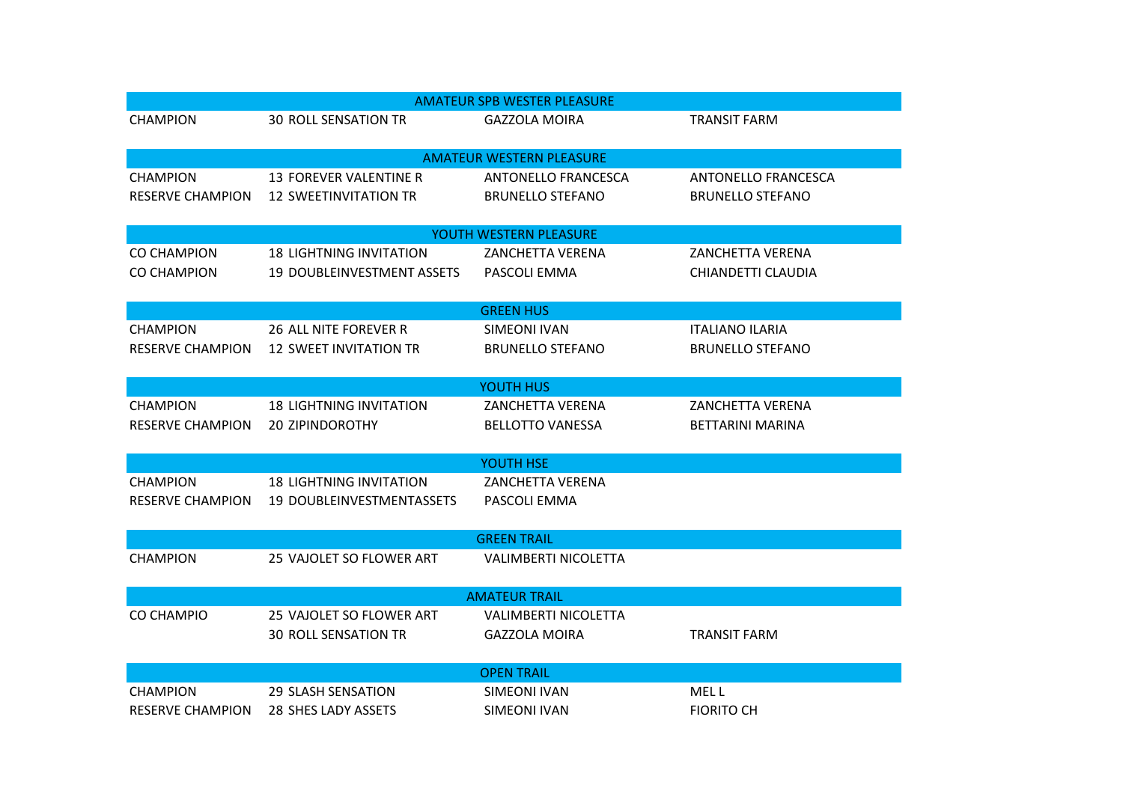| <b>AMATEUR SPB WESTER PLEASURE</b> |                                |                                 |                         |  |  |
|------------------------------------|--------------------------------|---------------------------------|-------------------------|--|--|
| <b>CHAMPION</b>                    | <b>30 ROLL SENSATION TR</b>    | <b>GAZZOLA MOIRA</b>            | <b>TRANSIT FARM</b>     |  |  |
|                                    |                                |                                 |                         |  |  |
|                                    |                                | <b>AMATEUR WESTERN PLEASURE</b> |                         |  |  |
| <b>CHAMPION</b>                    | 13 FOREVER VALENTINE R         | ANTONELLO FRANCESCA             | ANTONELLO FRANCESCA     |  |  |
| <b>RESERVE CHAMPION</b>            | <b>12 SWEETINVITATION TR</b>   | <b>BRUNELLO STEFANO</b>         | <b>BRUNELLO STEFANO</b> |  |  |
|                                    |                                |                                 |                         |  |  |
|                                    |                                | YOUTH WESTERN PLEASURE          |                         |  |  |
| <b>CO CHAMPION</b>                 | <b>18 LIGHTNING INVITATION</b> | <b>ZANCHETTA VERENA</b>         | ZANCHETTA VERENA        |  |  |
| <b>CO CHAMPION</b>                 | 19 DOUBLEINVESTMENT ASSETS     | PASCOLI EMMA                    | CHIANDETTI CLAUDIA      |  |  |
|                                    |                                |                                 |                         |  |  |
|                                    |                                | <b>GREEN HUS</b>                |                         |  |  |
| <b>CHAMPION</b>                    | 26 ALL NITE FOREVER R          | <b>SIMEONI IVAN</b>             | <b>ITALIANO ILARIA</b>  |  |  |
| <b>RESERVE CHAMPION</b>            | <b>12 SWEET INVITATION TR</b>  | <b>BRUNELLO STEFANO</b>         | <b>BRUNELLO STEFANO</b> |  |  |
|                                    |                                |                                 |                         |  |  |
|                                    |                                | YOUTH HUS                       |                         |  |  |
| <b>CHAMPION</b>                    | <b>18 LIGHTNING INVITATION</b> | ZANCHETTA VERENA                | ZANCHETTA VERENA        |  |  |
| <b>RESERVE CHAMPION</b>            | <b>20 ZIPINDOROTHY</b>         | <b>BELLOTTO VANESSA</b>         | <b>BETTARINI MARINA</b> |  |  |
|                                    |                                | YOUTH HSE                       |                         |  |  |
| <b>CHAMPION</b>                    | <b>18 LIGHTNING INVITATION</b> | <b>ZANCHETTA VERENA</b>         |                         |  |  |
| <b>RESERVE CHAMPION</b>            | 19 DOUBLEINVESTMENTASSETS      | PASCOLI EMMA                    |                         |  |  |
|                                    |                                |                                 |                         |  |  |
| <b>GREEN TRAIL</b>                 |                                |                                 |                         |  |  |
| <b>CHAMPION</b>                    | 25 VAJOLET SO FLOWER ART       | <b>VALIMBERTI NICOLETTA</b>     |                         |  |  |
|                                    |                                |                                 |                         |  |  |
| <b>AMATEUR TRAIL</b>               |                                |                                 |                         |  |  |
| CO CHAMPIO                         | 25 VAJOLET SO FLOWER ART       | <b>VALIMBERTI NICOLETTA</b>     |                         |  |  |
|                                    | <b>30 ROLL SENSATION TR</b>    | <b>GAZZOLA MOIRA</b>            | <b>TRANSIT FARM</b>     |  |  |
|                                    |                                |                                 |                         |  |  |
| <b>OPEN TRAIL</b>                  |                                |                                 |                         |  |  |
| <b>CHAMPION</b>                    | 29 SLASH SENSATION             | SIMEONI IVAN                    | MEL L                   |  |  |
| <b>RESERVE CHAMPION</b>            | 28 SHES LADY ASSETS            | SIMEONI IVAN                    | <b>FIORITO CH</b>       |  |  |